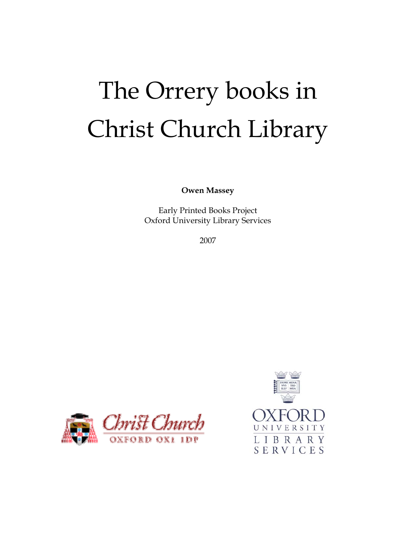# The Orrery books in Christ Church Library

**Owen Massey** 

Early Printed Books Project Oxford University Library Services

2007



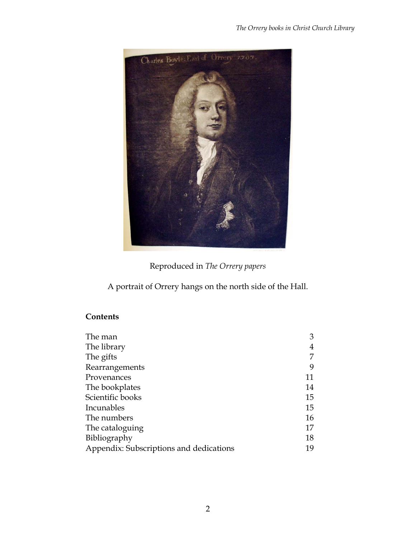

Reproduced in *The Orrery papers*

A portrait of Orrery hangs on the north side of the Hall.

# **Contents**

| The man                                 | 3  |
|-----------------------------------------|----|
| The library                             | 4  |
| The gifts                               |    |
| Rearrangements                          | 9  |
| Provenances                             | 11 |
| The bookplates                          | 14 |
| Scientific books                        | 15 |
| Incunables                              | 15 |
| The numbers                             | 16 |
| The cataloguing                         | 17 |
| Bibliography                            | 18 |
| Appendix: Subscriptions and dedications | 19 |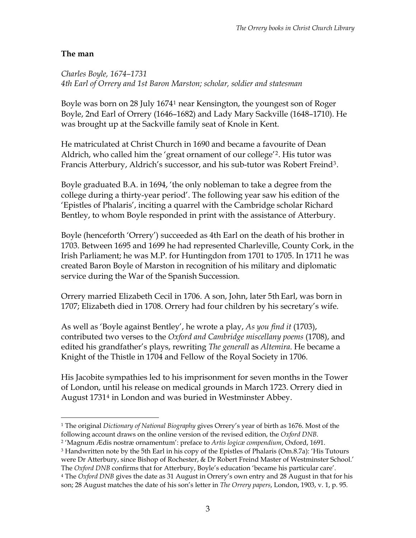#### **The man**

*Charles Boyle, 1674–1731 4th Earl of Orrery and 1st Baron Marston; scholar, soldier and statesman* 

Boyle was born on 28 July 1674[1](#page-2-0) near Kensington, the youngest son of Roger Boyle, 2nd Earl of Orrery (1646–1682) and Lady Mary Sackville (1648–1710). He was brought up at the Sackville family seat of Knole in Kent.

He matriculated at Christ Church in 1690 and became a favourite of Dean Aldrich, who called him the 'great ornament of our college'[2](#page-2-1). His tutor was Francis Atterbury, Aldrich's successor, and his sub-tutor was Robert Freind[3](#page-2-2).

Boyle graduated B.A. in 1694, 'the only nobleman to take a degree from the college during a thirty-year period'. The following year saw his edition of the 'Epistles of Phalaris', inciting a quarrel with the Cambridge scholar Richard Bentley, to whom Boyle responded in print with the assistance of Atterbury.

Boyle (henceforth 'Orrery') succeeded as 4th Earl on the death of his brother in 1703. Between 1695 and 1699 he had represented Charleville, County Cork, in the Irish Parliament; he was M.P. for Huntingdon from 1701 to 1705. In 1711 he was created Baron Boyle of Marston in recognition of his military and diplomatic service during the War of the Spanish Succession.

Orrery married Elizabeth Cecil in 1706. A son, John, later 5th Earl, was born in 1707; Elizabeth died in 1708. Orrery had four children by his secretary's wife.

As well as 'Boyle against Bentley', he wrote a play, *As you find it* (1703), contributed two verses to the *Oxford and Cambridge miscellany poems* (1708), and edited his grandfather's plays, rewriting *The generall* as *Altemira*. He became a Knight of the Thistle in 1704 and Fellow of the Royal Society in 1706.

His Jacobite sympathies led to his imprisonment for seven months in the Tower of London, until his release on medical grounds in March 1723. Orrery died in August 1731[4](#page-2-3) in London and was buried in Westminster Abbey.

<span id="page-2-2"></span><span id="page-2-1"></span>3 Handwritten note by the 5th Earl in his copy of the Epistles of Phalaris (Om.8.7a): 'His Tutours were Dr Atterbury, since Bishop of Rochester, & Dr Robert Freind Master of Westminster School.' The *Oxford DNB* confirms that for Atterbury, Boyle's education 'became his particular care'.

 $\overline{a}$ 1 The original *Dictionary of National Biography* gives Orrery's year of birth as 1676. Most of the

<span id="page-2-0"></span>following account draws on the online version of the revised edition, the *Oxford DNB*. 2 'Magnum Ædis nostræ ornamentum': preface to *Artis logicæ compendium*, Oxford, 1691.

<span id="page-2-3"></span><sup>4</sup> The *Oxford DNB* gives the date as 31 August in Orrery's own entry and 28 August in that for his son; 28 August matches the date of his son's letter in *The Orrery papers*, London, 1903, v. 1, p. 95.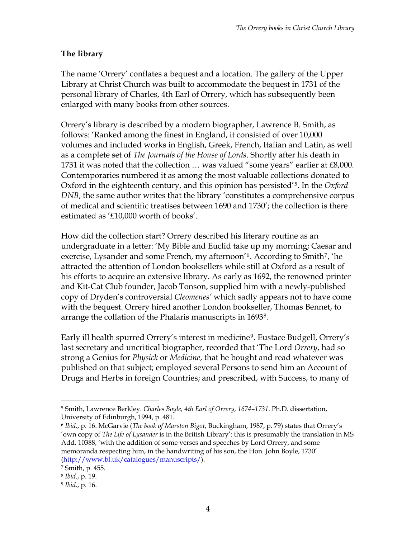# **The library**

The name 'Orrery' conflates a bequest and a location. The gallery of the Upper Library at Christ Church was built to accommodate the bequest in 1731 of the personal library of Charles, 4th Earl of Orrery, which has subsequently been enlarged with many books from other sources.

Orrery's library is described by a modern biographer, Lawrence B. Smith, as follows: 'Ranked among the finest in England, it consisted of over 10,000 volumes and included works in English, Greek, French, Italian and Latin, as well as a complete set of *The Journals of the House of Lords*. Shortly after his death in 1731 it was noted that the collection … was valued "some years" earlier at £8,000. Contemporaries numbered it as among the most valuable collections donated to Oxford in the eighteenth century, and this opinion has persisted'[5](#page-3-0). In the *Oxford DNB*, the same author writes that the library 'constitutes a comprehensive corpus of medical and scientific treatises between 1690 and 1730'; the collection is there estimated as '£10,000 worth of books'.

How did the collection start? Orrery described his literary routine as an undergraduate in a letter: 'My Bible and Euclid take up my morning; Caesar and exercise, Lysander and some French, my afternoon'<sup>[6](#page-3-1)</sup>. According to Smith<sup>[7](#page-3-2)</sup>, 'he attracted the attention of London booksellers while still at Oxford as a result of his efforts to acquire an extensive library. As early as 1692, the renowned printer and Kit-Cat Club founder, Jacob Tonson, supplied him with a newly-published copy of Dryden's controversial *Cleomenes'* which sadly appears not to have come with the bequest. Orrery hired another London bookseller, Thomas Bennet, to arrange the collation of the Phalaris manuscripts in 1693[8](#page-3-3).

Early ill health spurred Orrery's interest in medicine<sup>[9](#page-3-4)</sup>. Eustace Budgell, Orrery's last secretary and uncritical biographer, recorded that 'The Lord *Orrery*, had so strong a Genius for *Physick* or *Medicine*, that he bought and read whatever was published on that subject; employed several Persons to send him an Account of Drugs and Herbs in foreign Countries; and prescribed, with Success, to many of

<span id="page-3-0"></span> $\overline{a}$ 5 Smith, Lawrence Berkley. *Charles Boyle, 4th Earl of Orrery, 1674–1731*. Ph.D. dissertation, University of Edinburgh, 1994, p. 481.

<span id="page-3-1"></span><sup>6</sup> *Ibid*., p. 16. McGarvie (*The book of Marston Bigot*, Buckingham, 1987, p. 79) states that Orrery's 'own copy of *The Life of Lysander* is in the British Library': this is presumably the translation in MS Add. 10388, 'with the addition of some verses and speeches by Lord Orrery, and some memoranda respecting him, in the handwriting of his son, the Hon. John Boyle, 1730' [\(http://www.bl.uk/catalogues/manuscripts/\)](http://www.bl.uk/catalogues/manuscripts/).

<span id="page-3-2"></span><sup>7</sup> Smith, p. 455.

<span id="page-3-3"></span><sup>8</sup> *Ibid*., p. 19.

<span id="page-3-4"></span><sup>9</sup> *Ibid*., p. 16.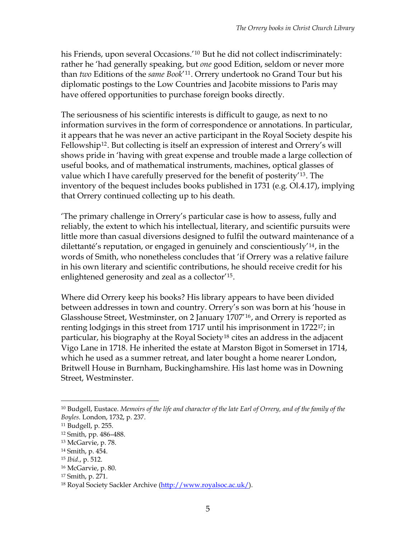his Friends, upon several Occasions.<sup>'[10](#page-4-0)</sup> But he did not collect indiscriminately: rather he 'had generally speaking, but *one* good Edition, seldom or never more than *two* Editions of the *same Book*'[11](#page-4-1). Orrery undertook no Grand Tour but his diplomatic postings to the Low Countries and Jacobite missions to Paris may have offered opportunities to purchase foreign books directly.

The seriousness of his scientific interests is difficult to gauge, as next to no information survives in the form of correspondence or annotations. In particular, it appears that he was never an active participant in the Royal Society despite his Fellowship<sup>[12](#page-4-2)</sup>. But collecting is itself an expression of interest and Orrery's will shows pride in 'having with great expense and trouble made a large collection of useful books, and of mathematical instruments, machines, optical glasses of value which I have carefully preserved for the benefit of posterity'[13](#page-4-3). The inventory of the bequest includes books published in 1731 (e.g. Ol.4.17), implying that Orrery continued collecting up to his death.

'The primary challenge in Orrery's particular case is how to assess, fully and reliably, the extent to which his intellectual, literary, and scientific pursuits were little more than casual diversions designed to fulfil the outward maintenance of a dilettanté's reputation, or engaged in genuinely and conscientiously'[14](#page-4-4), in the words of Smith, who nonetheless concludes that 'if Orrery was a relative failure in his own literary and scientific contributions, he should receive credit for his enlightened generosity and zeal as a collector'[15](#page-4-5).

Where did Orrery keep his books? His library appears to have been divided between addresses in town and country. Orrery's son was born at his 'house in Glasshouse Street, Westminster, on 2 January 1707'[16](#page-4-6), and Orrery is reported as renting lodgings in this street from 1717 until his imprisonment in 1722[17](#page-4-7); in particular, his biography at the Royal Society<sup>[18](#page-4-8)</sup> cites an address in the adjacent Vigo Lane in 1718. He inherited the estate at Marston Bigot in Somerset in 1714, which he used as a summer retreat, and later bought a home nearer London, Britwell House in Burnham, Buckinghamshire. His last home was in Downing Street, Westminster.

<span id="page-4-0"></span><sup>10</sup> Budgell, Eustace. *Memoirs of the life and character of the late Earl of Orrery, and of the family of the Boyles*. London, 1732, p. 237.

<span id="page-4-1"></span><sup>11</sup> Budgell, p. 255.

<span id="page-4-2"></span><sup>12</sup> Smith, pp. 486–488.

<span id="page-4-4"></span><span id="page-4-3"></span><sup>13</sup> McGarvie, p. 78.

<sup>14</sup> Smith, p. 454.

<span id="page-4-5"></span><sup>15</sup> *Ibid*., p. 512.

<span id="page-4-6"></span><sup>16</sup> McGarvie, p. 80.

<span id="page-4-7"></span><sup>17</sup> Smith, p. 271.

<span id="page-4-8"></span><sup>18</sup> Royal Society Sackler Archive (<http://www.royalsoc.ac.uk/>).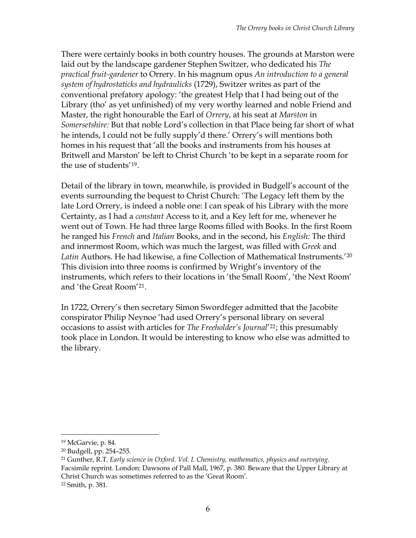There were certainly books in both country houses. The grounds at Marston were laid out by the landscape gardener Stephen Switzer, who dedicated his *The practical fruit-gardener* to Orrery. In his magnum opus *An introduction to a general system of hydrostaticks and hydraulicks* (1729), Switzer writes as part of the conventional prefatory apology: 'the greatest Help that I had being out of the Library (tho' as yet unfinished) of my very worthy learned and noble Friend and Master, the right honourable the Earl of *Orrery*, at his seat at *Marston* in *Somersetshire:* But that noble Lord's collection in that Place being far short of what he intends, I could not be fully supply'd there.' Orrery's will mentions both homes in his request that 'all the books and instruments from his houses at Britwell and Marston' be left to Christ Church 'to be kept in a separate room for the use of students'[19](#page-5-0).

Detail of the library in town, meanwhile, is provided in Budgell's account of the events surrounding the bequest to Christ Church: 'The Legacy left them by the late Lord Orrery, is indeed a noble one: I can speak of his Library with the more Certainty, as I had a *constant* Access to it, and a Key left for me, whenever he went out of Town. He had three large Rooms filled with Books. In the first Room he ranged his *French* and *Italian* Books, and in the second, his *English:* The third and innermost Room, which was much the largest, was filled with *Greek* and *Latin* Authors. He had likewise, a fine Collection of Mathematical Instruments.'[20](#page-5-1) This division into three rooms is confirmed by Wright's inventory of the instruments, which refers to their locations in 'the Small Room', 'the Next Room' and 'the Great Room'[21](#page-5-2).

In 1722, Orrery's then secretary Simon Swordfeger admitted that the Jacobite conspirator Philip Neynoe 'had used Orrery's personal library on several occasions to assist with articles for *The Freeholder's Journal*'[22](#page-5-3); this presumably took place in London. It would be interesting to know who else was admitted to the library.

<span id="page-5-0"></span><sup>19</sup> McGarvie, p. 84.

<span id="page-5-1"></span><sup>20</sup> Budgell, pp. 254–255.

<span id="page-5-3"></span><span id="page-5-2"></span><sup>21</sup> Gunther, R.T. *Early science in Oxford. Vol. I. Chemistry, mathematics, physics and surveying*. Facsimile reprint. London: Dawsons of Pall Mall, 1967, p. 380. Beware that the Upper Library at Christ Church was sometimes referred to as the 'Great Room'. 22 Smith, p. 381.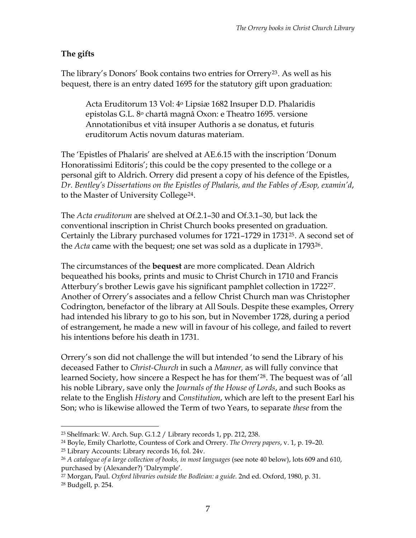# **The gifts**

The library's Donors' Book contains two entries for Orrery<sup>[23](#page-6-0)</sup>. As well as his bequest, there is an entry dated 1695 for the statutory gift upon graduation:

Acta Eruditorum 13 Vol: 4o Lipsiæ 1682 Insuper D.D. Phalaridis epistolas G.L. 8o chartâ magnâ Oxon: e Theatro 1695. versione Annotationibus et vitâ insuper Authoris a se donatus, et futuris eruditorum Actis novum daturas materiam.

The 'Epistles of Phalaris' are shelved at AE.6.15 with the inscription 'Donum Honoratissimi Editoris'; this could be the copy presented to the college or a personal gift to Aldrich. Orrery did present a copy of his defence of the Epistles, *Dr. Bentley's Dissertations on the Epistles of Phalaris, and the Fables of Æsop, examin'd*, to the Master of University Colleg[e24](#page-6-1).

The *Acta eruditorum* are shelved at Of.2.1–30 and Of.3.1–30, but lack the conventional inscription in Christ Church books presented on graduation. Certainly the Library purchased volumes for 1721–1729 in 1731[25](#page-6-2). A second set of the *Acta* came with the bequest; one set was sold as a duplicate in 1793[26](#page-6-3).

The circumstances of the **bequest** are more complicated. Dean Aldrich bequeathed his books, prints and music to Christ Church in 1710 and Francis Atterbury's brother Lewis gave his significant pamphlet collection in 1722[27](#page-6-4). Another of Orrery's associates and a fellow Christ Church man was Christopher Codrington, benefactor of the library at All Souls. Despite these examples, Orrery had intended his library to go to his son, but in November 1728, during a period of estrangement, he made a new will in favour of his college, and failed to revert his intentions before his death in 1731.

Orrery's son did not challenge the will but intended 'to send the Library of his deceased Father to *Christ-Church* in such a *Manner,* as will fully convince that learned Society, how sincere a Respect he has for them'[28](#page-6-5). The bequest was of 'all his noble Library, save only the *Journals of the House of Lords*, and such Books as relate to the English *History* and *Constitution*, which are left to the present Earl his Son; who is likewise allowed the Term of two Years, to separate *these* from the

<span id="page-6-0"></span><sup>23</sup> Shelfmark: W. Arch. Sup. G.1.2 / Library records 1, pp. 212, 238.

<span id="page-6-1"></span><sup>24</sup> Boyle, Emily Charlotte, Countess of Cork and Orrery. *The Orrery papers*, v. 1, p. 19–20.

<span id="page-6-2"></span><sup>25</sup> Library Accounts: Library records 16, fol. 24v.

<span id="page-6-3"></span><sup>26</sup> *A catalogue of a large collection of books, in most languages* (see note 40 below), lots 609 and 610, purchased by (Alexander?) 'Dalrymple'.

<span id="page-6-4"></span><sup>27</sup> Morgan, Paul. *Oxford libraries outside the Bodleian: a guide.* 2nd ed. Oxford, 1980, p. 31.

<span id="page-6-5"></span><sup>28</sup> Budgell, p. 254.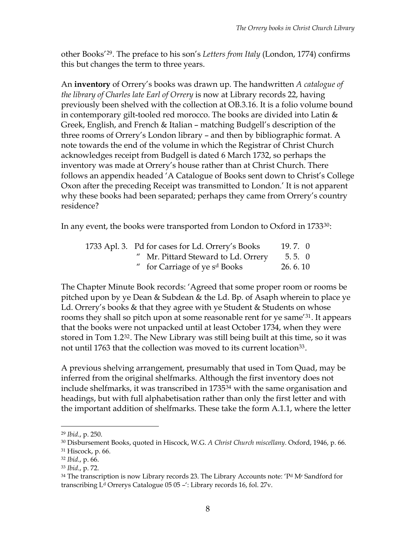other Books'[29](#page-7-0). The preface to his son's *Letters from Italy* (London, 1774) confirms this but changes the term to three years.

An **inventory** of Orrery's books was drawn up. The handwritten *A catalogue of the library of Charles late Earl of Orrery* is now at Library records 22, having previously been shelved with the collection at OB.3.16. It is a folio volume bound in contemporary gilt-tooled red morocco. The books are divided into Latin  $\&$ Greek, English, and French & Italian – matching Budgell's description of the three rooms of Orrery's London library – and then by bibliographic format. A note towards the end of the volume in which the Registrar of Christ Church acknowledges receipt from Budgell is dated 6 March 1732, so perhaps the inventory was made at Orrery's house rather than at Christ Church. There follows an appendix headed 'A Catalogue of Books sent down to Christ's College Oxon after the preceding Receipt was transmitted to London.' It is not apparent why these books had been separated; perhaps they came from Orrery's country residence?

In any event, the books were transported from London to Oxford in  $1733^{30}$  $1733^{30}$  $1733^{30}$ :

| 1733 Apl. 3. Pd for cases for Ld. Orrery's Books | $19.7.$ 0 |
|--------------------------------------------------|-----------|
| " Mr. Pittard Steward to Ld. Orrery              | 5.5.0     |
| " for Carriage of ye s <sup>d</sup> Books        | 26.6.10   |

The Chapter Minute Book records: 'Agreed that some proper room or rooms be pitched upon by ye Dean & Subdean & the Ld. Bp. of Asaph wherein to place ye Ld. Orrery's books & that they agree with ye Student & Students on whose rooms they shall so pitch upon at some reasonable rent for ye same'[31](#page-7-2). It appears that the books were not unpacked until at least October 1734, when they were stored in Tom 1.2[32](#page-7-3). The New Library was still being built at this time, so it was not until 1763 that the collection was moved to its current location<sup>[33](#page-7-4)</sup>.

A previous shelving arrangement, presumably that used in Tom Quad, may be inferred from the original shelfmarks. Although the first inventory does not include shelfmarks, it was transcribed in 1735[34](#page-7-5) with the same organisation and headings, but with full alphabetisation rather than only the first letter and with the important addition of shelfmarks. These take the form A.1.1, where the letter

<span id="page-7-0"></span><sup>29</sup> *Ibid*., p. 250.

<span id="page-7-1"></span><sup>30</sup> Disbursement Books, quoted in Hiscock, W.G. *A Christ Church miscellany*. Oxford, 1946, p. 66. 31 Hiscock, p. 66.

<span id="page-7-3"></span><span id="page-7-2"></span><sup>32</sup> *Ibid*., p. 66.

<span id="page-7-4"></span><sup>33</sup> *Ibid*., p. 72.

<span id="page-7-5"></span><sup>&</sup>lt;sup>34</sup> The transcription is now Library records 23. The Library Accounts note: 'P<sup>d</sup> M<sup>r</sup> Sandford for transcribing L<sup>d</sup> Orrerys Catalogue 05 05 -': Library records 16, fol. 27v.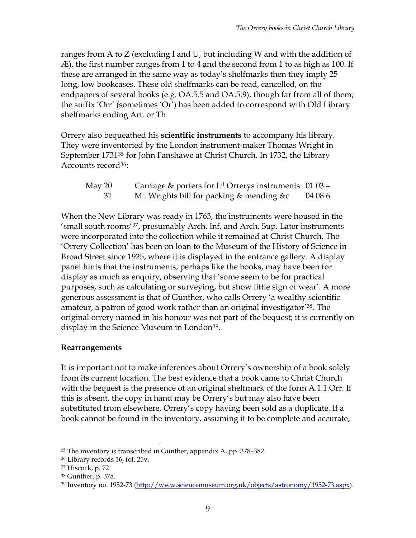ranges from A to Z (excluding I and U, but including W and with the addition of Æ), the first number ranges from 1 to 4 and the second from 1 to as high as 100. If these are arranged in the same way as today's shelfmarks then they imply 25 long, low bookcases. These old shelfmarks can be read, cancelled, on the endpapers of several books (e.g. OA.5.5 and OA.5.9), though far from all of them; the suffix 'Orr' (sometimes 'Or') has been added to correspond with Old Library shelfmarks ending Art. or Th.

Orrery also bequeathed his **scientific instruments** to accompany his library. They were inventoried by the London instrument-maker Thomas Wright in September 1731<sup>[35](#page-8-0)</sup> for John Fanshawe at Christ Church. In 1732, the Library Accounts record<sup>[36](#page-8-1)</sup>:

| May 20 | Carriage & porters for $Ld$ Orrerys instruments 01 03 – |         |
|--------|---------------------------------------------------------|---------|
|        | M <sup>r</sup> . Wrights bill for packing & mending & c | 04 08 6 |

When the New Library was ready in 1763, the instruments were housed in the 'small south rooms'[37](#page-8-2), presumably Arch. Inf. and Arch. Sup. Later instruments were incorporated into the collection while it remained at Christ Church. The 'Orrery Collection' has been on loan to the Museum of the History of Science in Broad Street since 1925, where it is displayed in the entrance gallery. A display panel hints that the instruments, perhaps like the books, may have been for display as much as enquiry, observing that 'some seem to be for practical purposes, such as calculating or surveying, but show little sign of wear'. A more generous assessment is that of Gunther, who calls Orrery 'a wealthy scientific amateur, a patron of good work rather than an original investigator'[38](#page-8-3). The original orrery named in his honour was not part of the bequest; it is currently on display in the Science Museum in London<sup>[39](#page-8-4)</sup>.

#### **Rearrangements**

It is important not to make inferences about Orrery's ownership of a book solely from its current location. The best evidence that a book came to Christ Church with the bequest is the presence of an original shelfmark of the form A.1.1.Orr. If this is absent, the copy in hand may be Orrery's but may also have been substituted from elsewhere, Orrery's copy having been sold as a duplicate. If a book cannot be found in the inventory, assuming it to be complete and accurate,

<span id="page-8-0"></span><sup>35</sup> The inventory is transcribed in Gunther, appendix A, pp. 378–382.

<span id="page-8-2"></span><span id="page-8-1"></span><sup>36</sup> Library records 16, fol. 25v.

<sup>37</sup> Hiscock, p. 72.

<span id="page-8-3"></span><sup>38</sup> Gunther, p. 378.

<span id="page-8-4"></span><sup>39</sup> Inventory no. 1952-73 ([http://www.sciencemuseum.org.uk/objects/astronomy/1952-73.aspx\)](http://www.sciencemuseum.org.uk/objects/astronomy/1952-73.aspx).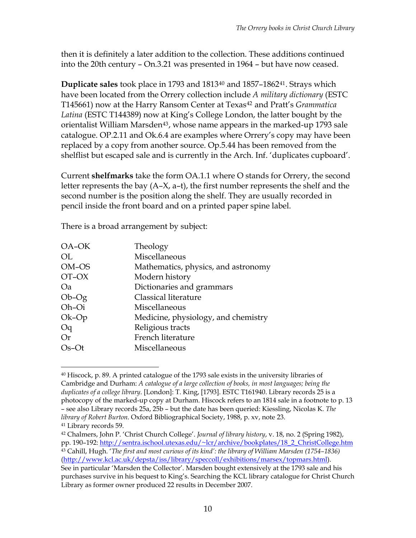then it is definitely a later addition to the collection. These additions continued into the 20th century – On.3.21 was presented in 1964 – but have now ceased.

**Duplicate sales** took place in 1793 and 1813[40](#page-9-0) and 1857–1862[41](#page-9-1). Strays which have been located from the Orrery collection include *A military dictionary* (ESTC T145661) now at the Harry Ransom Center at Texas<sup>[42](#page-9-2)</sup> and Pratt's *Grammatica Latina* (ESTC T144389) now at King's College London, the latter bought by the orientalist William Marsden<sup>[43](#page-9-3)</sup>, whose name appears in the marked-up 1793 sale catalogue. OP.2.11 and Ok.6.4 are examples where Orrery's copy may have been replaced by a copy from another source. Op.5.44 has been removed from the shelflist but escaped sale and is currently in the Arch. Inf. 'duplicates cupboard'.

Current **shelfmarks** take the form OA.1.1 where O stands for Orrery, the second letter represents the bay  $(A-X, a-t)$ , the first number represents the shelf and the second number is the position along the shelf. They are usually recorded in pencil inside the front board and on a printed paper spine label.

There is a broad arrangement by subject:

| OA-OK       | Theology                            |
|-------------|-------------------------------------|
| OL          | Miscellaneous                       |
| OM-OS       | Mathematics, physics, and astronomy |
| OT-OX       | Modern history                      |
| Oa          | Dictionaries and grammars           |
| $Ob-Og$     | Classical literature                |
| Oh-Oi       | Miscellaneous                       |
| $Ok$ - $Op$ | Medicine, physiology, and chemistry |
| Oq          | Religious tracts                    |
| Or          | French literature                   |
| $Os-Ot$     | Miscellaneous                       |
|             |                                     |

<span id="page-9-0"></span><sup>40</sup> Hiscock, p. 89. A printed catalogue of the 1793 sale exists in the university libraries of Cambridge and Durham: *A catalogue of a large collection of books, in most languages; being the duplicates of a college library*. [London]: T. King, [1793]. ESTC T161940. Library records 25 is a photocopy of the marked-up copy at Durham. Hiscock refers to an 1814 sale in a footnote to p. 13 – see also Library records 25a, 25b – but the date has been queried: Kiessling, Nicolas K. *The library of Robert Burton*. Oxford Bibliographical Society, 1988, p. xv, note 23. 41 Library records 59.

<span id="page-9-3"></span><span id="page-9-2"></span><span id="page-9-1"></span><sup>42</sup> Chalmers, John P. 'Christ Church College'. *Journal of library history*, v. 18, no. 2 (Spring 1982), pp. 190–192: [http://sentra.ischool.utexas.edu/~lcr/archive/bookplates/18\\_2\\_ChristCollege.htm](http://sentra.ischool.utexas.edu/%7Elcr/archive/bookplates/18_2_ChristCollege.htm) 43 Cahill, Hugh. '*The first and most curious of its kind': the library of William Marsden (1754–1836)*  [\(http://www.kcl.ac.uk/depsta/iss/library/speccoll/exhibitions/marsex/topmars.html\)](http://www.kcl.ac.uk/depsta/iss/library/speccoll/exhibitions/marsex/topmars.html). See in particular 'Marsden the Collector'. Marsden bought extensively at the 1793 sale and his purchases survive in his bequest to King's. Searching the KCL library catalogue for Christ Church Library as former owner produced 22 results in December 2007.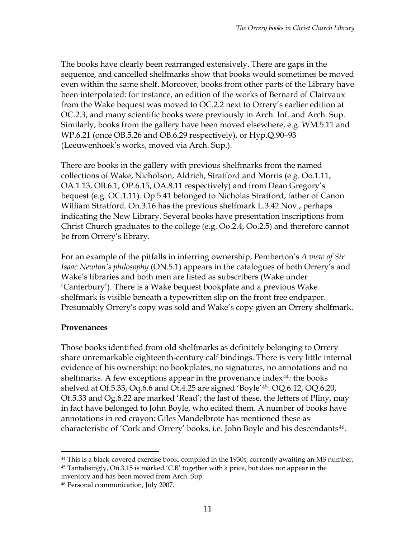The books have clearly been rearranged extensively. There are gaps in the sequence, and cancelled shelfmarks show that books would sometimes be moved even within the same shelf. Moreover, books from other parts of the Library have been interpolated: for instance, an edition of the works of Bernard of Clairvaux from the Wake bequest was moved to OC.2.2 next to Orrery's earlier edition at OC.2.3, and many scientific books were previously in Arch. Inf. and Arch. Sup. Similarly, books from the gallery have been moved elsewhere, e.g. WM.5.11 and WP.6.21 (once OB.5.26 and OB.6.29 respectively), or Hyp.Q.90–93 (Leeuwenhoek's works, moved via Arch. Sup.).

There are books in the gallery with previous shelfmarks from the named collections of Wake, Nicholson, Aldrich, Stratford and Morris (e.g. Oo.1.11, OA.1.13, OB.6.1, OP.6.15, OA.8.11 respectively) and from Dean Gregory's bequest (e.g. OC.1.11). Op.5.41 belonged to Nicholas Stratford, father of Canon William Stratford. On.3.16 has the previous shelfmark L.3.42.Nov., perhaps indicating the New Library. Several books have presentation inscriptions from Christ Church graduates to the college (e.g. Oo.2.4, Oo.2.5) and therefore cannot be from Orrery's library.

For an example of the pitfalls in inferring ownership, Pemberton's *A view of Sir Isaac Newton's philosophy* (ON.5.1) appears in the catalogues of both Orrery's and Wake's libraries and both men are listed as subscribers (Wake under 'Canterbury'). There is a Wake bequest bookplate and a previous Wake shelfmark is visible beneath a typewritten slip on the front free endpaper. Presumably Orrery's copy was sold and Wake's copy given an Orrery shelfmark.

#### **Provenances**

1

Those books identified from old shelfmarks as definitely belonging to Orrery share unremarkable eighteenth-century calf bindings. There is very little internal evidence of his ownership: no bookplates, no signatures, no annotations and no shelfmarks. A few exceptions appear in the provenance index<sup>[44](#page-10-0)</sup>: the books shelved at Of.5.33, Oq.6.6 and Ot.4.25 are signed 'Boyle'[45](#page-10-1). OQ.6.12, OQ.6.20, Of.5.33 and Og.6.22 are marked 'Read'; the last of these, the letters of Pliny, may in fact have belonged to John Boyle, who edited them. A number of books have annotations in red crayon: Giles Mandelbrote has mentioned these as characteristic of 'Cork and Orrery' books, i.e. John Boyle and his descendants<sup>[46](#page-10-2)</sup>.

<span id="page-10-1"></span><span id="page-10-0"></span><sup>&</sup>lt;sup>44</sup> This is a black-covered exercise book, compiled in the 1930s, currently awaiting an MS number. 45 Tantalisingly, On.3.15 is marked 'C.B' together with a price, but does not appear in the inventory and has been moved from Arch. Sup.

<span id="page-10-2"></span><sup>46</sup> Personal communication, July 2007.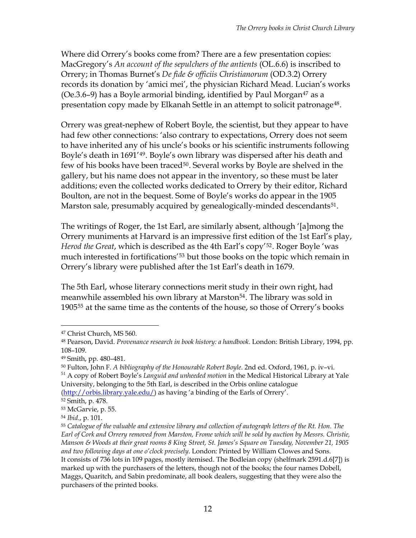Where did Orrery's books come from? There are a few presentation copies: MacGregory's *An account of the sepulchers of the antients* (OL.6.6) is inscribed to Orrery; in Thomas Burnet's *De fide & officiis Christianorum* (OD.3.2) Orrery records its donation by 'amici mei', the physician Richard Mead. Lucian's works (Oe.3.6–9) has a Boyle armorial binding, identified by Paul Morgan $47$  as a presentation copy made by Elkanah Settle in an attempt to solicit patronage<sup>[48](#page-11-1)</sup>.

Orrery was great-nephew of Robert Boyle, the scientist, but they appear to have had few other connections: 'also contrary to expectations, Orrery does not seem to have inherited any of his uncle's books or his scientific instruments following Boyle's death in 1691'[49](#page-11-2). Boyle's own library was dispersed after his death and few of his books have been traced<sup>[50](#page-11-3)</sup>. Several works by Boyle are shelved in the gallery, but his name does not appear in the inventory, so these must be later additions; even the collected works dedicated to Orrery by their editor, Richard Boulton, are not in the bequest. Some of Boyle's works do appear in the 1905 Marston sale, presumably acquired by genealogically-minded descendants<sup>[51](#page-11-4)</sup>.

The writings of Roger, the 1st Earl, are similarly absent, although '[a]mong the Orrery muniments at Harvard is an impressive first edition of the 1st Earl's play, *Herod the Great*, which is described as the 4th Earl's copy'[52](#page-11-5). Roger Boyle 'was much interested in fortifications<sup>'[53](#page-11-6)</sup> but those books on the topic which remain in Orrery's library were published after the 1st Earl's death in 1679.

The 5th Earl, whose literary connections merit study in their own right, had meanwhile assembled his own library at Marston<sup>[54](#page-11-7)</sup>. The library was sold in 1905[55](#page-11-8) at the same time as the contents of the house, so those of Orrery's books

<span id="page-11-4"></span><sup>51</sup> A copy of Robert Boyle's *Languid and unheeded motion* in the Medical Historical Library at Yale University, belonging to the 5th Earl, is described in the Orbis online catalogue [\(http://orbis.library.yale.edu/\)](http://orbis.library.yale.edu/) as having 'a binding of the Earls of Orrery'.

52 Smith, p. 478.

<span id="page-11-0"></span><sup>47</sup> Christ Church, MS 560.

<span id="page-11-1"></span><sup>48</sup> Pearson, David. *Provenance research in book history: a handbook*. London: British Library, 1994, pp. 108–109.

<span id="page-11-2"></span><sup>49</sup> Smith, pp. 480–481.

<span id="page-11-3"></span><sup>50</sup> Fulton, John F. *A bibliography of the Honourable Robert Boyle*. 2nd ed. Oxford, 1961, p. iv–vi.

<span id="page-11-6"></span><span id="page-11-5"></span><sup>53</sup> McGarvie, p. 55.

<span id="page-11-7"></span><sup>54</sup> *Ibid*., p. 101.

<span id="page-11-8"></span><sup>55</sup> *Catalogue of the valuable and extensive library and collection of autograph letters of the Rt. Hon. The Earl of Cork and Orrery removed from Marston, Frome which will be sold by auction by Messrs. Christie, Manson & Woods at their great rooms 8 King Street, St. James's Square on Tuesday, November 21, 1905 and two following days at one o'clock precisely*. London: Printed by William Clowes and Sons. It consists of 736 lots in 109 pages, mostly itemised. The Bodleian copy (shelfmark 2591.d.6[7]) is marked up with the purchasers of the letters, though not of the books; the four names Dobell, Maggs, Quaritch, and Sabin predominate, all book dealers, suggesting that they were also the purchasers of the printed books.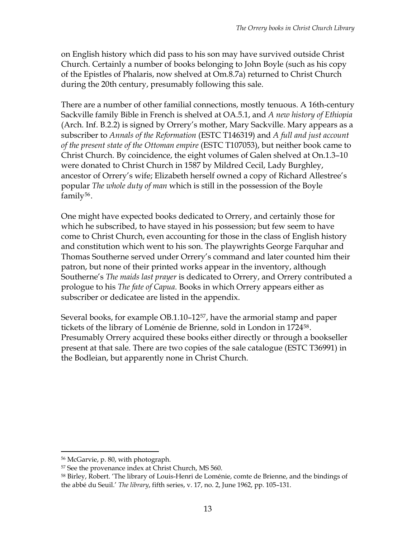on English history which did pass to his son may have survived outside Christ Church. Certainly a number of books belonging to John Boyle (such as his copy of the Epistles of Phalaris, now shelved at Om.8.7a) returned to Christ Church during the 20th century, presumably following this sale.

There are a number of other familial connections, mostly tenuous. A 16th-century Sackville family Bible in French is shelved at OA.5.1, and *A new history of Ethiopia* (Arch. Inf. B.2.2) is signed by Orrery's mother, Mary Sackville. Mary appears as a subscriber to *Annals of the Reformation* (ESTC T146319) and *A full and just account of the present state of the Ottoman empire* (ESTC T107053), but neither book came to Christ Church. By coincidence, the eight volumes of Galen shelved at On.1.3–10 were donated to Christ Church in 1587 by Mildred Cecil, Lady Burghley, ancestor of Orrery's wife; Elizabeth herself owned a copy of Richard Allestree's popular *The whole duty of man* which is still in the possession of the Boyle family[56](#page-12-0).

One might have expected books dedicated to Orrery, and certainly those for which he subscribed, to have stayed in his possession; but few seem to have come to Christ Church, even accounting for those in the class of English history and constitution which went to his son. The playwrights George Farquhar and Thomas Southerne served under Orrery's command and later counted him their patron, but none of their printed works appear in the inventory, although Southerne's *The maids last prayer* is dedicated to Orrery, and Orrery contributed a prologue to his *The fate of Capua*. Books in which Orrery appears either as subscriber or dedicatee are listed in the appendix.

Several books, for example OB.1.10–12[57](#page-12-1), have the armorial stamp and paper tickets of the library of Loménie de Brienne, sold in London in 1724[58](#page-12-2). Presumably Orrery acquired these books either directly or through a bookseller present at that sale. There are two copies of the sale catalogue (ESTC T36991) in the Bodleian, but apparently none in Christ Church.

<span id="page-12-1"></span><span id="page-12-0"></span><sup>56</sup> McGarvie, p. 80, with photograph.

<sup>57</sup> See the provenance index at Christ Church, MS 560.

<span id="page-12-2"></span><sup>58</sup> Birley, Robert. 'The library of Louis-Henri de Loménie, comte de Brienne, and the bindings of the abbé du Seuil.' *The library*, fifth series, v. 17, no. 2, June 1962, pp. 105–131.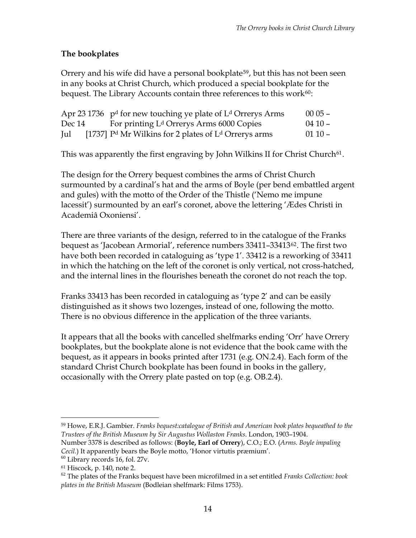### **The bookplates**

Orrery and his wife did have a personal bookplate<sup>[59](#page-13-0)</sup>, but this has not been seen in any books at Christ Church, which produced a special bookplate for the bequest. The Library Accounts contain three references to this work $60$ :

|        | Apr 23 1736 $pd$ for new touching ye plate of L <sup>d</sup> Orrerys Arms | $0005 -$ |
|--------|---------------------------------------------------------------------------|----------|
| Dec 14 | For printing L <sup>d</sup> Orrerys Arms 6000 Copies                      | $0410 -$ |
| Jul    | [1737] $Pd$ Mr Wilkins for 2 plates of $Ld$ Orrerys arms                  | $0110 -$ |

This was apparently the first engraving by John Wilkins II for Christ Church<sup>[61](#page-13-2)</sup>.

The design for the Orrery bequest combines the arms of Christ Church surmounted by a cardinal's hat and the arms of Boyle (per bend embattled argent and gules) with the motto of the Order of the Thistle ('Nemo me impune lacessit') surmounted by an earl's coronet, above the lettering 'Ædes Christi in Academiâ Oxoniensi'.

There are three variants of the design, referred to in the catalogue of the Franks bequest as 'Jacobean Armorial', reference numbers 33411–33413[62](#page-13-3). The first two have both been recorded in cataloguing as 'type 1'. 33412 is a reworking of 33411 in which the hatching on the left of the coronet is only vertical, not cross-hatched, and the internal lines in the flourishes beneath the coronet do not reach the top.

Franks 33413 has been recorded in cataloguing as 'type 2' and can be easily distinguished as it shows two lozenges, instead of one, following the motto. There is no obvious difference in the application of the three variants.

It appears that all the books with cancelled shelfmarks ending 'Orr' have Orrery bookplates, but the bookplate alone is not evidence that the book came with the bequest, as it appears in books printed after 1731 (e.g. ON.2.4). Each form of the standard Christ Church bookplate has been found in books in the gallery, occasionally with the Orrery plate pasted on top (e.g. OB.2.4).

<span id="page-13-0"></span> $\overline{a}$ 59 Howe, E.R.J. Gambier. *Franks bequest:catalogue of British and American book plates bequeathed to the Trustees of the British Museum by Sir Augustus Wollaston Franks*. London, 1903–1904.

Number 3378 is described as follows: (**Boyle, Earl of Orrery**), C.O.; E.O. (*Arms. Boyle impaling Cecil.*) It apparently bears the Boyle motto, 'Honor virtutis præmium'.

<span id="page-13-1"></span> $60$  Library records 16, fol. 27v.

<span id="page-13-2"></span><sup>61</sup> Hiscock, p. 140, note 2.

<span id="page-13-3"></span><sup>62</sup> The plates of the Franks bequest have been microfilmed in a set entitled *Franks Collection: book plates in the British Museum* (Bodleian shelfmark: Films 1753).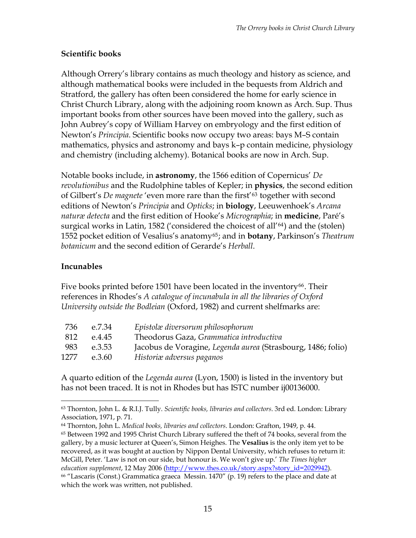#### **Scientific books**

Although Orrery's library contains as much theology and history as science, and although mathematical books were included in the bequests from Aldrich and Stratford, the gallery has often been considered the home for early science in Christ Church Library, along with the adjoining room known as Arch. Sup. Thus important books from other sources have been moved into the gallery, such as John Aubrey's copy of William Harvey on embryology and the first edition of Newton's *Principia*. Scientific books now occupy two areas: bays M–S contain mathematics, physics and astronomy and bays k–p contain medicine, physiology and chemistry (including alchemy). Botanical books are now in Arch. Sup.

Notable books include, in **astronomy**, the 1566 edition of Copernicus' *De revolutionibus* and the Rudolphine tables of Kepler; in **physics**, the second edition of Gilbert's *De magnete* 'even more rare than the first'[63](#page-14-0) together with second editions of Newton's *Principia* and *Opticks*; in **biology**, Leeuwenhoek's *Arcana naturæ detecta* and the first edition of Hooke's *Micrographia*; in **medicine**, Paré's surgical works in Latin, 1582 ('considered the choicest of all'[64](#page-14-1)) and the (stolen) 1552 pocket edition of Vesalius's anatomy[65](#page-14-2); and in **botany**, Parkinson's *Theatrum botanicum* and the second edition of Gerarde's *Herball*.

# **Incunables**

 $\overline{a}$ 

Five books printed before 1501 have been located in the inventory<sup>[66](#page-14-3)</sup>. Their references in Rhodes's *A catalogue of incunabula in all the libraries of Oxford University outside the Bodleian* (Oxford, 1982) and current shelfmarks are:

| 736  | e.7.34 | Epistolæ diversorum philosophorum                            |
|------|--------|--------------------------------------------------------------|
| 812  | e.4.45 | Theodorus Gaza, Grammatica introductiva                      |
| 983  | e.3.53 | Jacobus de Voragine, Legenda aurea (Strasbourg, 1486; folio) |
| 1277 | e.3.60 | Historiæ adversus paganos                                    |

A quarto edition of the *Legenda aurea* (Lyon, 1500) is listed in the inventory but has not been traced. It is not in Rhodes but has ISTC number ij00136000.

<span id="page-14-0"></span><sup>63</sup> Thornton, John L. & R.I.J. Tully. *Scientific books, libraries and collectors*. 3rd ed. London: Library Association, 1971, p. 71.

<span id="page-14-1"></span><sup>64</sup> Thornton, John L. *Medical books, libraries and collectors*. London: Grafton, 1949, p. 44.

<span id="page-14-2"></span> $65$  Between 1992 and 1995 Christ Church Library suffered the theft of 74 books, several from the gallery, by a music lecturer at Queen's, Simon Heighes. The **Vesalius** is the only item yet to be recovered, as it was bought at auction by Nippon Dental University, which refuses to return it: McGill, Peter. 'Law is not on our side, but honour is. We won't give up.' *The Times higher education supplement*, 12 May 2006 [\(http://www.thes.co.uk/story.aspx?story\\_id=2029942\)](http://www.thes.co.uk/story.aspx?story_id=2029942).

<span id="page-14-3"></span><sup>66 &</sup>quot;Lascaris (Const.) Grammatica graeca Messin. 1470" (p. 19) refers to the place and date at which the work was written, not published.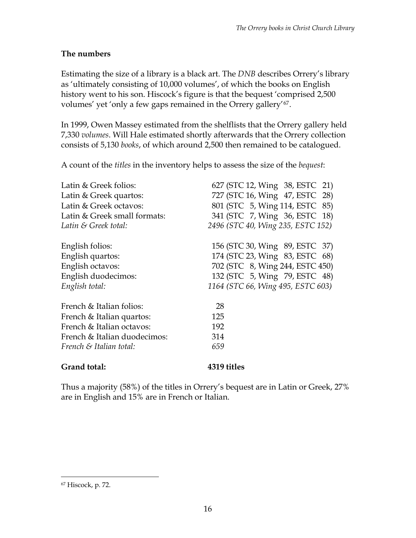#### **The numbers**

Estimating the size of a library is a black art. The *DNB* describes Orrery's library as 'ultimately consisting of 10,000 volumes', of which the books on English history went to his son. Hiscock's figure is that the bequest 'comprised 2,500 volumes' yet 'only a few gaps remained in the Orrery gallery'[67](#page-15-0).

In 1999, Owen Massey estimated from the shelflists that the Orrery gallery held 7,330 *volumes*. Will Hale estimated shortly afterwards that the Orrery collection consists of 5,130 *books*, of which around 2,500 then remained to be catalogued.

A count of the *titles* in the inventory helps to assess the size of the *bequest*:

| Latin & Greek folios:<br>Latin & Greek quartos: | 627 (STC 12, Wing 38, ESTC 21)<br>727 (STC 16, Wing 47, ESTC 28) |
|-------------------------------------------------|------------------------------------------------------------------|
| Latin & Greek octavos:                          | 801 (STC 5, Wing 114, ESTC 85)                                   |
| Latin & Greek small formats:                    | 341 (STC 7, Wing 36, ESTC 18)                                    |
| Latin & Greek total:                            | 2496 (STC 40, Wing 235, ESTC 152)                                |
| English folios:                                 | 156 (STC 30, Wing 89, ESTC 37)                                   |
| English quartos:                                | 174 (STC 23, Wing 83, ESTC 68)                                   |
| English octavos:                                | 702 (STC 8, Wing 244, ESTC 450)                                  |
| English duodecimos:                             | 132 (STC 5, Wing 79, ESTC 48)                                    |
| English total:                                  | 1164 (STC 66, Wing 495, ESTC 603)                                |
| French & Italian folios:                        | 28                                                               |
| French & Italian quartos:                       | 125                                                              |
| French & Italian octavos:                       | 192                                                              |
| French & Italian duodecimos:                    | 314                                                              |
| French & Italian total:                         | 659                                                              |
| Grand total:                                    | 4319 titles                                                      |

Thus a majority (58%) of the titles in Orrery's bequest are in Latin or Greek, 27% are in English and 15% are in French or Italian.

<span id="page-15-0"></span><sup>67</sup> Hiscock, p. 72.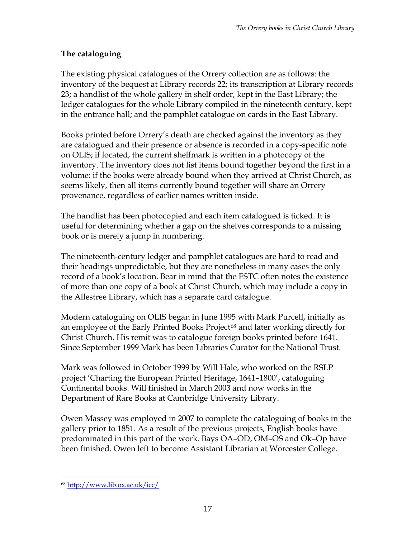# **The cataloguing**

The existing physical catalogues of the Orrery collection are as follows: the inventory of the bequest at Library records 22; its transcription at Library records 23; a handlist of the whole gallery in shelf order, kept in the East Library; the ledger catalogues for the whole Library compiled in the nineteenth century, kept in the entrance hall; and the pamphlet catalogue on cards in the East Library.

Books printed before Orrery's death are checked against the inventory as they are catalogued and their presence or absence is recorded in a copy-specific note on OLIS; if located, the current shelfmark is written in a photocopy of the inventory. The inventory does not list items bound together beyond the first in a volume: if the books were already bound when they arrived at Christ Church, as seems likely, then all items currently bound together will share an Orrery provenance, regardless of earlier names written inside.

The handlist has been photocopied and each item catalogued is ticked. It is useful for determining whether a gap on the shelves corresponds to a missing book or is merely a jump in numbering.

The nineteenth-century ledger and pamphlet catalogues are hard to read and their headings unpredictable, but they are nonetheless in many cases the only record of a book's location. Bear in mind that the ESTC often notes the existence of more than one copy of a book at Christ Church, which may include a copy in the Allestree Library, which has a separate card catalogue.

Modern cataloguing on OLIS began in June 1995 with Mark Purcell, initially as an employee of the Early Printed Books Project<sup>[68](#page-16-0)</sup> and later working directly for Christ Church. His remit was to catalogue foreign books printed before 1641. Since September 1999 Mark has been Libraries Curator for the National Trust.

Mark was followed in October 1999 by Will Hale, who worked on the RSLP project 'Charting the European Printed Heritage, 1641–1800', cataloguing Continental books. Will finished in March 2003 and now works in the Department of Rare Books at Cambridge University Library.

Owen Massey was employed in 2007 to complete the cataloguing of books in the gallery prior to 1851. As a result of the previous projects, English books have predominated in this part of the work. Bays OA–OD, OM–OS and Ok–Op have been finished. Owen left to become Assistant Librarian at Worcester College.

<span id="page-16-0"></span><sup>68</sup> <http://www.lib.ox.ac.uk/icc/>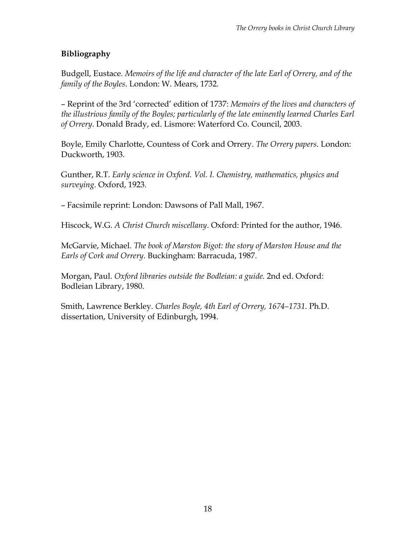# **Bibliography**

Budgell, Eustace. *Memoirs of the life and character of the late Earl of Orrery, and of the family of the Boyles*. London: W. Mears, 1732.

– Reprint of the 3rd 'corrected' edition of 1737: *Memoirs of the lives and characters of the illustrious family of the Boyles; particularly of the late eminently learned Charles Earl of Orrery*. Donald Brady, ed. Lismore: Waterford Co. Council, 2003.

Boyle, Emily Charlotte, Countess of Cork and Orrery. *The Orrery papers*. London: Duckworth, 1903.

Gunther, R.T. *Early science in Oxford. Vol. I. Chemistry, mathematics, physics and surveying*. Oxford, 1923.

– Facsimile reprint: London: Dawsons of Pall Mall, 1967.

Hiscock, W.G. *A Christ Church miscellany*. Oxford: Printed for the author, 1946.

McGarvie, Michael. *The book of Marston Bigot: the story of Marston House and the Earls of Cork and Orrery*. Buckingham: Barracuda, 1987.

Morgan, Paul. *Oxford libraries outside the Bodleian: a guide.* 2nd ed. Oxford: Bodleian Library, 1980.

Smith, Lawrence Berkley. *Charles Boyle, 4th Earl of Orrery, 1674–1731*. Ph.D. dissertation, University of Edinburgh, 1994.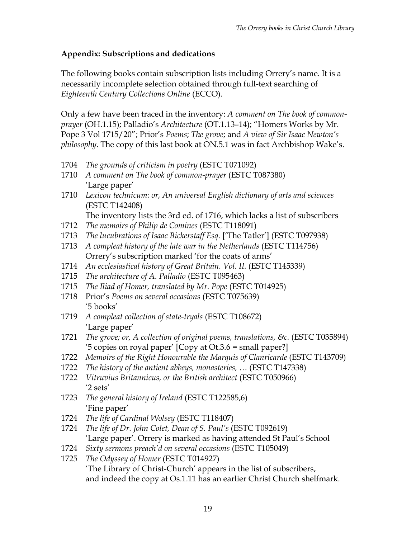# **Appendix: Subscriptions and dedications**

The following books contain subscription lists including Orrery's name. It is a necessarily incomplete selection obtained through full-text searching of *Eighteenth Century Collections Online* (ECCO).

Only a few have been traced in the inventory: *A comment on The book of commonprayer* (OH.1.15); Palladio's *Architecture* (OT.1.13–14); "Homers Works by Mr. Pope 3 Vol 1715/20"; Prior's *Poems*; *The grove*; and *A view of Sir Isaac Newton's philosophy*. The copy of this last book at ON.5.1 was in fact Archbishop Wake's.

- 1704 *The grounds of criticism in poetry* (ESTC T071092)
- 1710 *A comment on The book of common-prayer* (ESTC T087380) 'Large paper'
- 1710 *Lexicon technicum: or, An universal English dictionary of arts and sciences*  (ESTC T142408)

The inventory lists the 3rd ed. of 1716, which lacks a list of subscribers

- 1712 *The memoirs of Philip de Comines* (ESTC T118091)
- 1713 *The lucubrations of Isaac Bickerstaff Esq.* ['The Tatler'] (ESTC T097938)
- 1713 *A compleat history of the late war in the Netherlands* (ESTC T114756) Orrery's subscription marked 'for the coats of arms'
- 1714 *An ecclesiastical history of Great Britain. Vol. II.* (ESTC T145339)
- 1715 *The architecture of A. Palladio* (ESTC T095463)
- 1715 *The Iliad of Homer, translated by Mr. Pope* (ESTC T014925)
- 1718 Prior's *Poems on several occasions* (ESTC T075639) '5 books'
- 1719 *A compleat collection of state-tryals* (ESTC T108672) 'Large paper'
- 1721 *The grove; or, A collection of original poems, translations, &c.* (ESTC T035894) '5 copies on royal paper' [Copy at Ot.3.6 = small paper?]
- 1722 *Memoirs of the Right Honourable the Marquis of Clanricarde* (ESTC T143709)
- 1722 *The history of the antient abbeys, monasteries, …* (ESTC T147338)
- 1722 *Vitruvius Britannicus, or the British architect* (ESTC T050966) '2 sets'
- 1723 *The general history of Ireland* (ESTC T122585,6) 'Fine paper'
- 1724 *The life of Cardinal Wolsey* (ESTC T118407)
- 1724 *The life of Dr. John Colet, Dean of S. Paul's* (ESTC T092619) 'Large paper'. Orrery is marked as having attended St Paul's School
- 1724 *Sixty sermons preach'd on several occasions* (ESTC T105049)
- 1725 *The Odyssey of Homer* (ESTC T014927) 'The Library of Christ-Church' appears in the list of subscribers, and indeed the copy at Os.1.11 has an earlier Christ Church shelfmark.